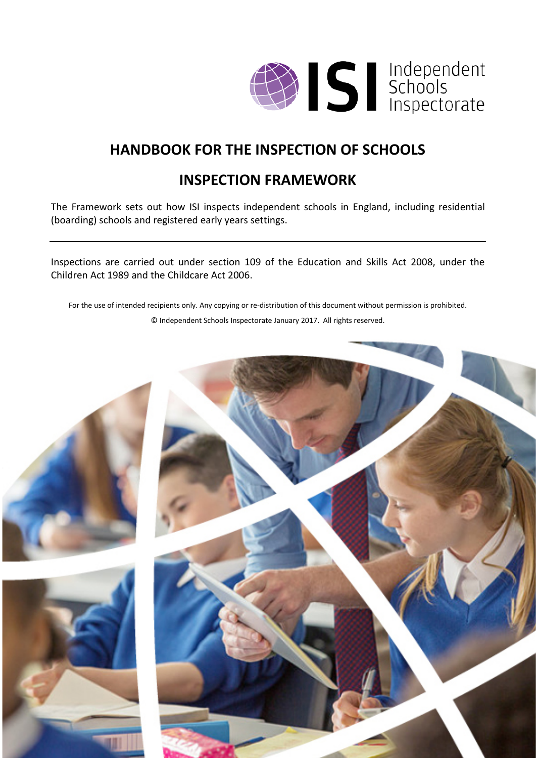

# **HANDBOOK FOR THE INSPECTION OF SCHOOLS**

# **INSPECTION FRAMEWORK**

The Framework sets out how ISI inspects independent schools in England, including residential (boarding) schools and registered early years settings.

Inspections are carried out under section 109 of the Education and Skills Act 2008, under the Children Act 1989 and the Childcare Act 2006.

For the use of intended recipients only. Any copying or re-distribution of this document without permission is prohibited. © Independent Schools Inspectorate January 2017. All rights reserved.

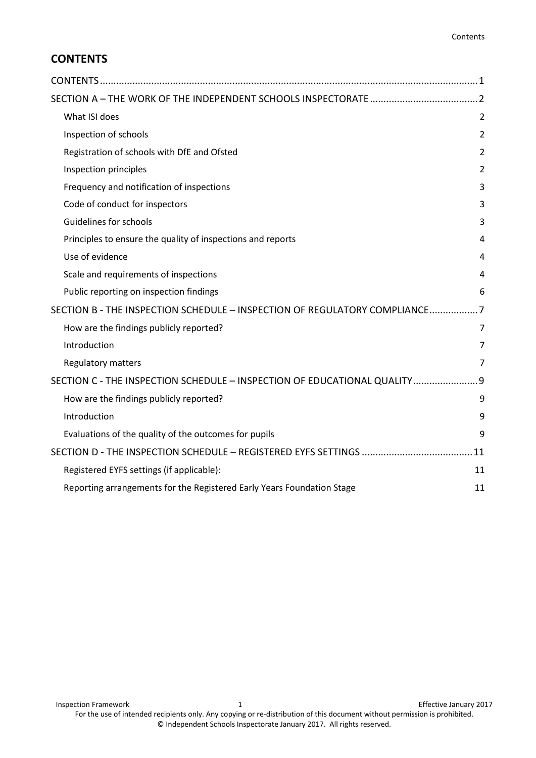## <span id="page-1-0"></span>**CONTENTS**

| What ISI does                                                              | $\overline{2}$ |
|----------------------------------------------------------------------------|----------------|
| Inspection of schools                                                      | $\overline{2}$ |
| Registration of schools with DfE and Ofsted                                | 2              |
| Inspection principles                                                      | $\overline{2}$ |
| Frequency and notification of inspections                                  | 3              |
| Code of conduct for inspectors                                             | 3              |
| Guidelines for schools                                                     | 3              |
| Principles to ensure the quality of inspections and reports                | 4              |
| Use of evidence                                                            | 4              |
| Scale and requirements of inspections                                      | 4              |
| Public reporting on inspection findings                                    | 6              |
| SECTION B - THE INSPECTION SCHEDULE - INSPECTION OF REGULATORY COMPLIANCE7 |                |
| How are the findings publicly reported?                                    | 7              |
| Introduction                                                               | $\overline{7}$ |
| <b>Regulatory matters</b>                                                  | 7              |
| SECTION C - THE INSPECTION SCHEDULE - INSPECTION OF EDUCATIONAL QUALITY 9  |                |
| How are the findings publicly reported?                                    | 9              |
| Introduction                                                               | 9              |
| Evaluations of the quality of the outcomes for pupils                      | 9              |
|                                                                            | .11            |
| Registered EYFS settings (if applicable):                                  | 11             |
| Reporting arrangements for the Registered Early Years Foundation Stage     | 11             |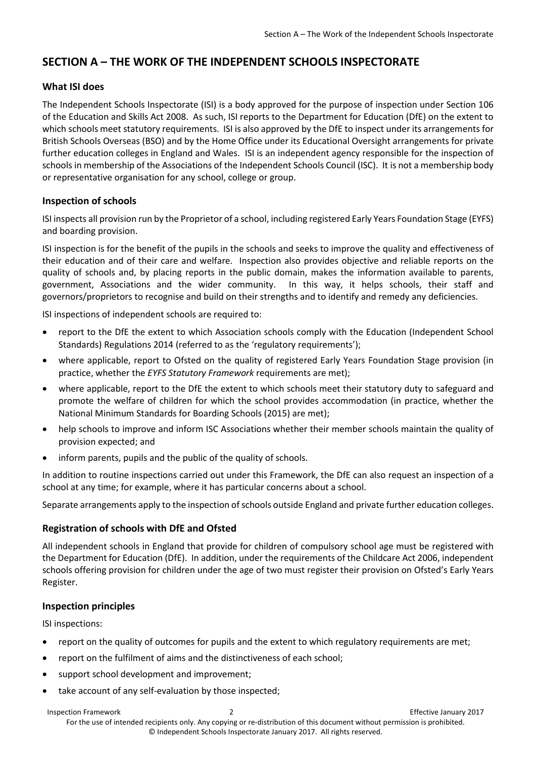## <span id="page-2-0"></span>**SECTION A – THE WORK OF THE INDEPENDENT SCHOOLS INSPECTORATE**

## <span id="page-2-1"></span>**What ISI does**

The Independent Schools Inspectorate (ISI) is a body approved for the purpose of inspection under Section 106 of the Education and Skills Act 2008. As such, ISI reports to the Department for Education (DfE) on the extent to which schools meet statutory requirements. ISI is also approved by the DfE to inspect under its arrangements for British Schools Overseas (BSO) and by the Home Office under its Educational Oversight arrangements for private further education colleges in England and Wales. ISI is an independent agency responsible for the inspection of schools in membership of the Associations of the Independent Schools Council (ISC). It is not a membership body or representative organisation for any school, college or group.

## <span id="page-2-2"></span>**Inspection of schools**

ISI inspects all provision run by the Proprietor of a school, including registered Early Years Foundation Stage (EYFS) and boarding provision.

ISI inspection is for the benefit of the pupils in the schools and seeks to improve the quality and effectiveness of their education and of their care and welfare. Inspection also provides objective and reliable reports on the quality of schools and, by placing reports in the public domain, makes the information available to parents, government, Associations and the wider community. In this way, it helps schools, their staff and governors/proprietors to recognise and build on their strengths and to identify and remedy any deficiencies.

ISI inspections of independent schools are required to:

- report to the DfE the extent to which Association schools comply with the Education (Independent School Standards) Regulations 2014 (referred to as the 'regulatory requirements');
- where applicable, report to Ofsted on the quality of registered Early Years Foundation Stage provision (in practice, whether the *EYFS Statutory Framework* requirements are met);
- where applicable, report to the DfE the extent to which schools meet their statutory duty to safeguard and promote the welfare of children for which the school provides accommodation (in practice, whether the National Minimum Standards for Boarding Schools (2015) are met);
- help schools to improve and inform ISC Associations whether their member schools maintain the quality of provision expected; and
- inform parents, pupils and the public of the quality of schools.

In addition to routine inspections carried out under this Framework, the DfE can also request an inspection of a school at any time; for example, where it has particular concerns about a school.

Separate arrangements apply to the inspection of schools outside England and private further education colleges.

## <span id="page-2-3"></span>**Registration of schools with DfE and Ofsted**

All independent schools in England that provide for children of compulsory school age must be registered with the Department for Education (DfE). In addition, under the requirements of the Childcare Act 2006, independent schools offering provision for children under the age of two must register their provision on Ofsted's Early Years Register.

## <span id="page-2-4"></span>**Inspection principles**

ISI inspections:

- report on the quality of outcomes for pupils and the extent to which regulatory requirements are met;
- report on the fulfilment of aims and the distinctiveness of each school;
- support school development and improvement;
- take account of any self-evaluation by those inspected;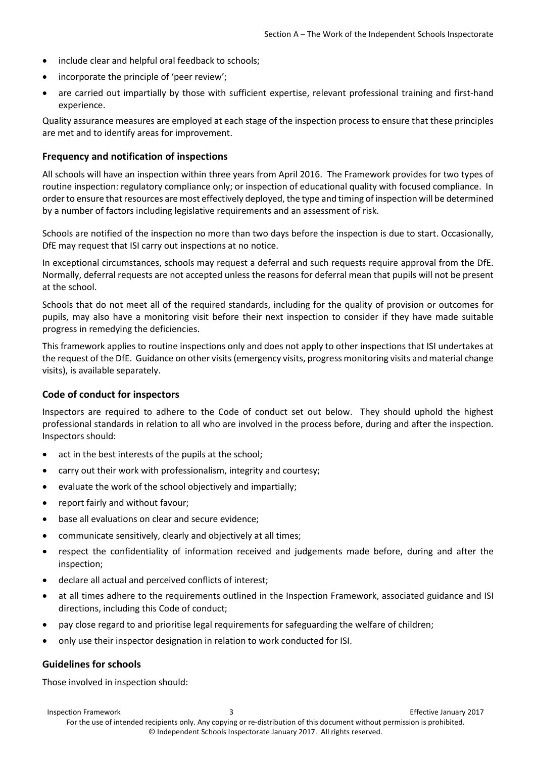- include clear and helpful oral feedback to schools;
- incorporate the principle of 'peer review';
- are carried out impartially by those with sufficient expertise, relevant professional training and first-hand experience.

Quality assurance measures are employed at each stage of the inspection process to ensure that these principles are met and to identify areas for improvement.

#### <span id="page-3-0"></span>**Frequency and notification of inspections**

All schools will have an inspection within three years from April 2016. The Framework provides for two types of routine inspection: regulatory compliance only; or inspection of educational quality with focused compliance. In order to ensure that resources are most effectively deployed, the type and timing of inspection will be determined by a number of factors including legislative requirements and an assessment of risk.

Schools are notified of the inspection no more than two days before the inspection is due to start. Occasionally, DfE may request that ISI carry out inspections at no notice.

In exceptional circumstances, schools may request a deferral and such requests require approval from the DfE. Normally, deferral requests are not accepted unless the reasons for deferral mean that pupils will not be present at the school.

Schools that do not meet all of the required standards, including for the quality of provision or outcomes for pupils, may also have a monitoring visit before their next inspection to consider if they have made suitable progress in remedying the deficiencies.

This framework applies to routine inspections only and does not apply to other inspections that ISI undertakes at the request of the DfE. Guidance on other visits (emergency visits, progress monitoring visits and material change visits), is available separately.

## <span id="page-3-1"></span>**Code of conduct for inspectors**

Inspectors are required to adhere to the Code of conduct set out below. They should uphold the highest professional standards in relation to all who are involved in the process before, during and after the inspection. Inspectors should:

- act in the best interests of the pupils at the school;
- carry out their work with professionalism, integrity and courtesy;
- evaluate the work of the school objectively and impartially;
- report fairly and without favour;
- base all evaluations on clear and secure evidence;
- communicate sensitively, clearly and objectively at all times;
- respect the confidentiality of information received and judgements made before, during and after the inspection;
- declare all actual and perceived conflicts of interest;
- at all times adhere to the requirements outlined in the Inspection Framework, associated guidance and ISI directions, including this Code of conduct;
- pay close regard to and prioritise legal requirements for safeguarding the welfare of children;
- only use their inspector designation in relation to work conducted for ISI.

## <span id="page-3-2"></span>**Guidelines for schools**

Those involved in inspection should: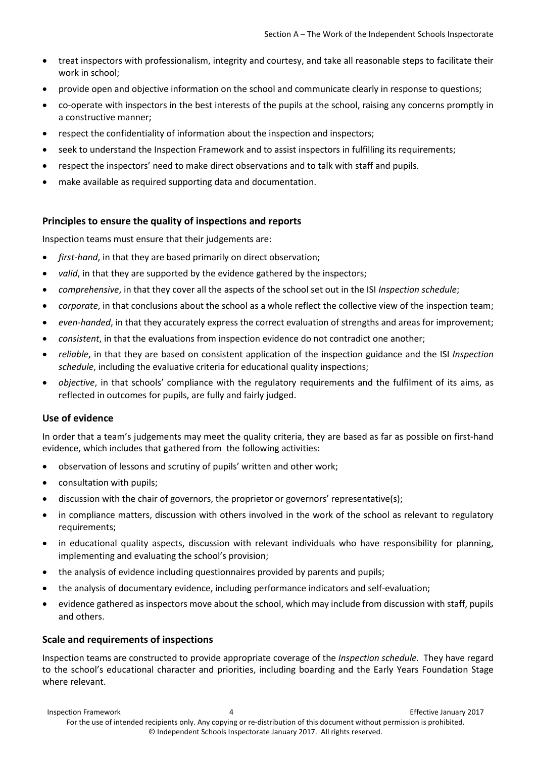- treat inspectors with professionalism, integrity and courtesy, and take all reasonable steps to facilitate their work in school;
- provide open and objective information on the school and communicate clearly in response to questions;
- co-operate with inspectors in the best interests of the pupils at the school, raising any concerns promptly in a constructive manner;
- respect the confidentiality of information about the inspection and inspectors;
- seek to understand the Inspection Framework and to assist inspectors in fulfilling its requirements;
- respect the inspectors' need to make direct observations and to talk with staff and pupils.
- make available as required supporting data and documentation.

## <span id="page-4-0"></span>**Principles to ensure the quality of inspections and reports**

Inspection teams must ensure that their judgements are:

- *first-hand*, in that they are based primarily on direct observation;
- valid, in that they are supported by the evidence gathered by the inspectors;
- *comprehensive*, in that they cover all the aspects of the school set out in the ISI *Inspection schedule*;
- *corporate*, in that conclusions about the school as a whole reflect the collective view of the inspection team;
- *even-handed*, in that they accurately express the correct evaluation of strengths and areas for improvement;
- *consistent*, in that the evaluations from inspection evidence do not contradict one another;
- *reliable*, in that they are based on consistent application of the inspection guidance and the ISI *Inspection schedule*, including the evaluative criteria for educational quality inspections;
- *objective*, in that schools' compliance with the regulatory requirements and the fulfilment of its aims, as reflected in outcomes for pupils, are fully and fairly judged.

## <span id="page-4-1"></span>**Use of evidence**

In order that a team's judgements may meet the quality criteria, they are based as far as possible on first-hand evidence, which includes that gathered from the following activities:

- observation of lessons and scrutiny of pupils' written and other work;
- consultation with pupils;
- discussion with the chair of governors, the proprietor or governors' representative(s);
- in compliance matters, discussion with others involved in the work of the school as relevant to regulatory requirements;
- in educational quality aspects, discussion with relevant individuals who have responsibility for planning, implementing and evaluating the school's provision;
- the analysis of evidence including questionnaires provided by parents and pupils;
- the analysis of documentary evidence, including performance indicators and self-evaluation;
- evidence gathered as inspectors move about the school, which may include from discussion with staff, pupils and others.

## <span id="page-4-2"></span>**Scale and requirements of inspections**

Inspection teams are constructed to provide appropriate coverage of the *Inspection schedule.* They have regard to the school's educational character and priorities, including boarding and the Early Years Foundation Stage where relevant.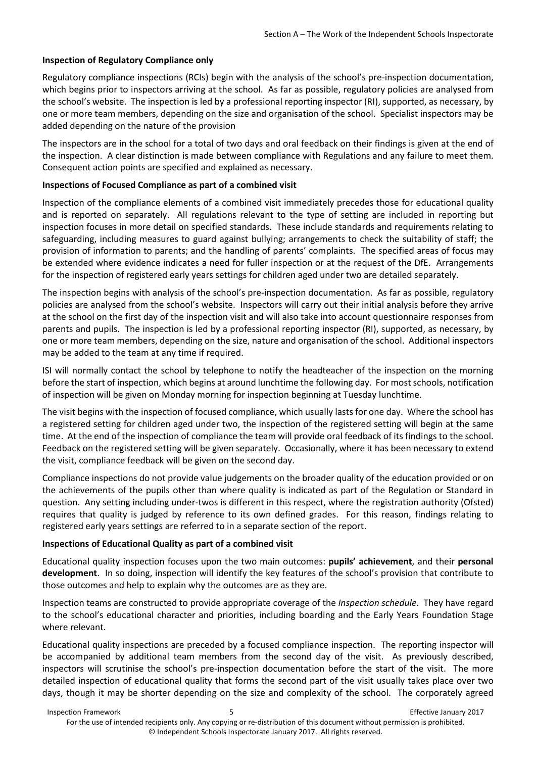#### **Inspection of Regulatory Compliance only**

Regulatory compliance inspections (RCIs) begin with the analysis of the school's pre-inspection documentation, which begins prior to inspectors arriving at the school. As far as possible, regulatory policies are analysed from the school's website. The inspection is led by a professional reporting inspector (RI), supported, as necessary, by one or more team members, depending on the size and organisation of the school. Specialist inspectors may be added depending on the nature of the provision

The inspectors are in the school for a total of two days and oral feedback on their findings is given at the end of the inspection. A clear distinction is made between compliance with Regulations and any failure to meet them. Consequent action points are specified and explained as necessary.

#### **Inspections of Focused Compliance as part of a combined visit**

Inspection of the compliance elements of a combined visit immediately precedes those for educational quality and is reported on separately. All regulations relevant to the type of setting are included in reporting but inspection focuses in more detail on specified standards. These include standards and requirements relating to safeguarding, including measures to guard against bullying; arrangements to check the suitability of staff; the provision of information to parents; and the handling of parents' complaints. The specified areas of focus may be extended where evidence indicates a need for fuller inspection or at the request of the DfE. Arrangements for the inspection of registered early years settings for children aged under two are detailed separately.

The inspection begins with analysis of the school's pre-inspection documentation. As far as possible, regulatory policies are analysed from the school's website. Inspectors will carry out their initial analysis before they arrive at the school on the first day of the inspection visit and will also take into account questionnaire responses from parents and pupils. The inspection is led by a professional reporting inspector (RI), supported, as necessary, by one or more team members, depending on the size, nature and organisation of the school. Additional inspectors may be added to the team at any time if required.

ISI will normally contact the school by telephone to notify the headteacher of the inspection on the morning before the start of inspection, which begins at around lunchtime the following day. For most schools, notification of inspection will be given on Monday morning for inspection beginning at Tuesday lunchtime.

The visit begins with the inspection of focused compliance, which usually lasts for one day. Where the school has a registered setting for children aged under two, the inspection of the registered setting will begin at the same time. At the end of the inspection of compliance the team will provide oral feedback of its findings to the school. Feedback on the registered setting will be given separately. Occasionally, where it has been necessary to extend the visit, compliance feedback will be given on the second day.

Compliance inspections do not provide value judgements on the broader quality of the education provided or on the achievements of the pupils other than where quality is indicated as part of the Regulation or Standard in question. Any setting including under-twos is different in this respect, where the registration authority (Ofsted) requires that quality is judged by reference to its own defined grades. For this reason, findings relating to registered early years settings are referred to in a separate section of the report.

#### **Inspections of Educational Quality as part of a combined visit**

Educational quality inspection focuses upon the two main outcomes: **pupils' achievement**, and their **personal development**. In so doing, inspection will identify the key features of the school's provision that contribute to those outcomes and help to explain why the outcomes are as they are.

Inspection teams are constructed to provide appropriate coverage of the *Inspection schedule*. They have regard to the school's educational character and priorities, including boarding and the Early Years Foundation Stage where relevant.

Educational quality inspections are preceded by a focused compliance inspection. The reporting inspector will be accompanied by additional team members from the second day of the visit. As previously described, inspectors will scrutinise the school's pre-inspection documentation before the start of the visit. The more detailed inspection of educational quality that forms the second part of the visit usually takes place over two days, though it may be shorter depending on the size and complexity of the school. The corporately agreed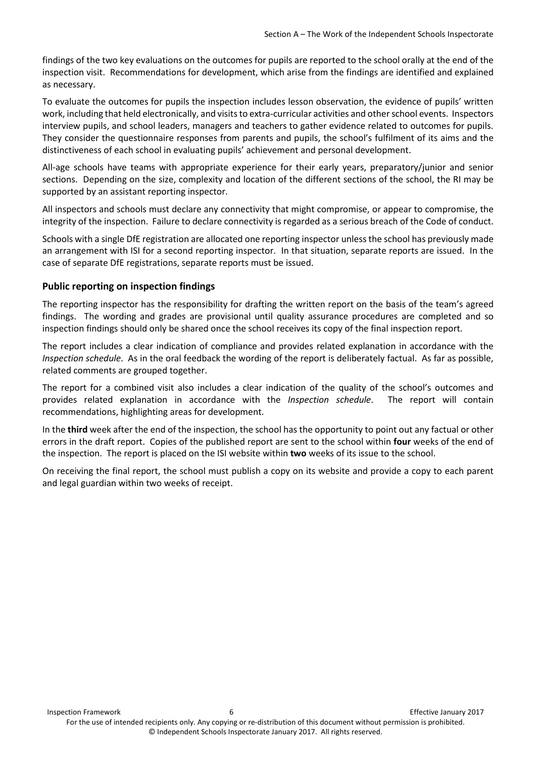findings of the two key evaluations on the outcomes for pupils are reported to the school orally at the end of the inspection visit. Recommendations for development, which arise from the findings are identified and explained as necessary.

To evaluate the outcomes for pupils the inspection includes lesson observation, the evidence of pupils' written work, including that held electronically, and visits to extra-curricular activities and other school events. Inspectors interview pupils, and school leaders, managers and teachers to gather evidence related to outcomes for pupils. They consider the questionnaire responses from parents and pupils, the school's fulfilment of its aims and the distinctiveness of each school in evaluating pupils' achievement and personal development.

All-age schools have teams with appropriate experience for their early years, preparatory/junior and senior sections. Depending on the size, complexity and location of the different sections of the school, the RI may be supported by an assistant reporting inspector.

All inspectors and schools must declare any connectivity that might compromise, or appear to compromise, the integrity of the inspection. Failure to declare connectivity is regarded as a serious breach of the Code of conduct.

Schools with a single DfE registration are allocated one reporting inspector unless the school has previously made an arrangement with ISI for a second reporting inspector. In that situation, separate reports are issued. In the case of separate DfE registrations, separate reports must be issued.

## <span id="page-6-0"></span>**Public reporting on inspection findings**

The reporting inspector has the responsibility for drafting the written report on the basis of the team's agreed findings. The wording and grades are provisional until quality assurance procedures are completed and so inspection findings should only be shared once the school receives its copy of the final inspection report.

The report includes a clear indication of compliance and provides related explanation in accordance with the *Inspection schedule*. As in the oral feedback the wording of the report is deliberately factual. As far as possible, related comments are grouped together.

The report for a combined visit also includes a clear indication of the quality of the school's outcomes and provides related explanation in accordance with the *Inspection schedule*. The report will contain recommendations, highlighting areas for development.

In the **third** week after the end of the inspection, the school has the opportunity to point out any factual or other errors in the draft report. Copies of the published report are sent to the school within **four** weeks of the end of the inspection. The report is placed on the ISI website within **two** weeks of its issue to the school.

On receiving the final report, the school must publish a copy on its website and provide a copy to each parent and legal guardian within two weeks of receipt.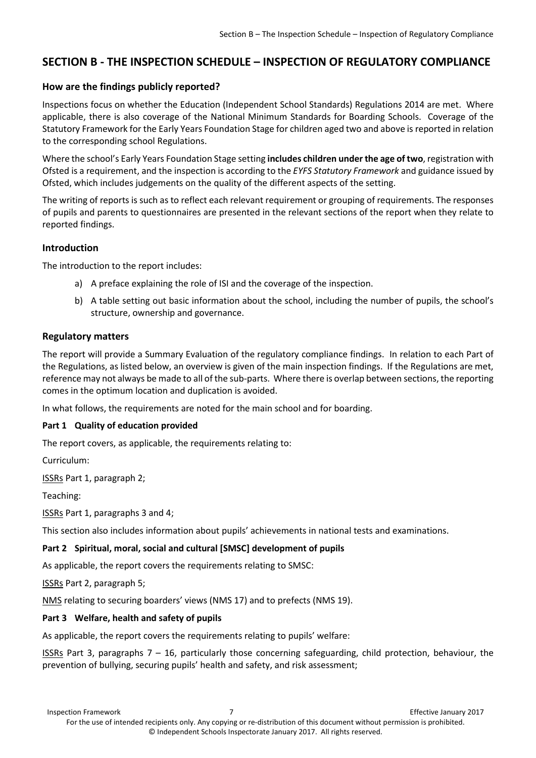## <span id="page-7-0"></span>**SECTION B - THE INSPECTION SCHEDULE – INSPECTION OF REGULATORY COMPLIANCE**

## <span id="page-7-1"></span>**How are the findings publicly reported?**

Inspections focus on whether the Education (Independent School Standards) Regulations 2014 are met. Where applicable, there is also coverage of the National Minimum Standards for Boarding Schools. Coverage of the Statutory Framework for the Early Years Foundation Stage for children aged two and above is reported in relation to the corresponding school Regulations.

Where the school's Early Years Foundation Stage setting **includes children under the age of two**, registration with Ofsted is a requirement, and the inspection is according to the *EYFS Statutory Framework* and guidance issued by Ofsted, which includes judgements on the quality of the different aspects of the setting.

The writing of reports is such as to reflect each relevant requirement or grouping of requirements. The responses of pupils and parents to questionnaires are presented in the relevant sections of the report when they relate to reported findings.

#### <span id="page-7-2"></span>**Introduction**

The introduction to the report includes:

- a) A preface explaining the role of ISI and the coverage of the inspection.
- b) A table setting out basic information about the school, including the number of pupils, the school's structure, ownership and governance.

#### <span id="page-7-3"></span>**Regulatory matters**

The report will provide a Summary Evaluation of the regulatory compliance findings. In relation to each Part of the Regulations, as listed below, an overview is given of the main inspection findings. If the Regulations are met, reference may not always be made to all of the sub-parts. Where there is overlap between sections, the reporting comes in the optimum location and duplication is avoided.

In what follows, the requirements are noted for the main school and for boarding.

#### **Part 1 Quality of education provided**

The report covers, as applicable, the requirements relating to:

Curriculum:

ISSRs Part 1, paragraph 2;

Teaching:

ISSRs Part 1, paragraphs 3 and 4;

This section also includes information about pupils' achievements in national tests and examinations.

#### **Part 2 Spiritual, moral, social and cultural [SMSC] development of pupils**

As applicable, the report covers the requirements relating to SMSC:

ISSRs Part 2, paragraph 5;

NMS relating to securing boarders' views (NMS 17) and to prefects (NMS 19).

#### **Part 3 Welfare, health and safety of pupils**

As applicable, the report covers the requirements relating to pupils' welfare:

ISSRs Part 3, paragraphs  $7 - 16$ , particularly those concerning safeguarding, child protection, behaviour, the prevention of bullying, securing pupils' health and safety, and risk assessment;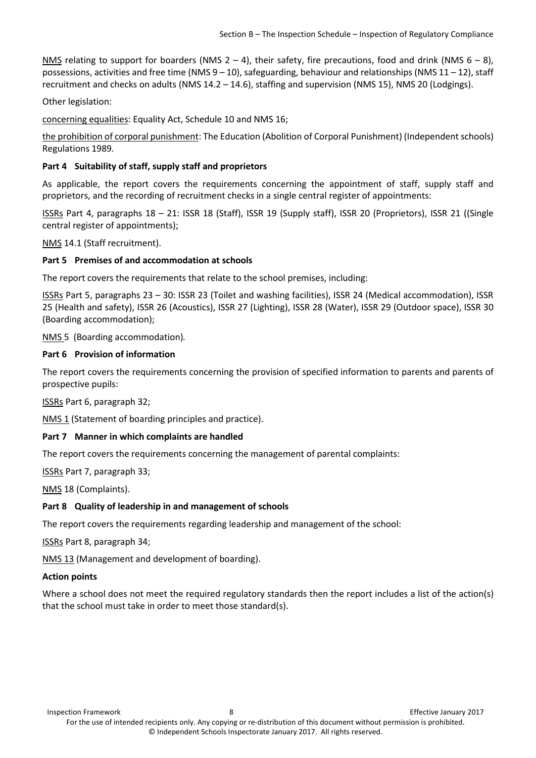NMS relating to support for boarders (NMS 2 – 4), their safety, fire precautions, food and drink (NMS  $6 - 8$ ), possessions, activities and free time (NMS  $9 - 10$ ), safeguarding, behaviour and relationships (NMS  $11 - 12$ ), staff recruitment and checks on adults (NMS 14.2 – 14.6), staffing and supervision (NMS 15), NMS 20 (Lodgings).

Other legislation:

concerning equalities: Equality Act, Schedule 10 and NMS 16;

the prohibition of corporal punishment: The Education (Abolition of Corporal Punishment) (Independent schools) Regulations 1989*.*

## **Part 4 Suitability of staff, supply staff and proprietors**

As applicable, the report covers the requirements concerning the appointment of staff, supply staff and proprietors, and the recording of recruitment checks in a single central register of appointments:

ISSRs Part 4, paragraphs 18 – 21: ISSR 18 (Staff), ISSR 19 (Supply staff), ISSR 20 (Proprietors), ISSR 21 ((Single central register of appointments);

NMS 14.1 (Staff recruitment).

#### **Part 5 Premises of and accommodation at schools**

The report covers the requirements that relate to the school premises, including:

ISSRs Part 5, paragraphs 23 – 30: ISSR 23 (Toilet and washing facilities), ISSR 24 (Medical accommodation), ISSR 25 (Health and safety), ISSR 26 (Acoustics), ISSR 27 (Lighting), ISSR 28 (Water), ISSR 29 (Outdoor space), ISSR 30 (Boarding accommodation);

NMS 5 (Boarding accommodation)*.*

#### **Part 6 Provision of information**

The report covers the requirements concerning the provision of specified information to parents and parents of prospective pupils:

ISSRs Part 6, paragraph 32;

NMS 1 (Statement of boarding principles and practice).

## **Part 7 Manner in which complaints are handled**

The report covers the requirements concerning the management of parental complaints:

ISSRs Part 7, paragraph 33;

NMS 18 (Complaints).

## **Part 8 Quality of leadership in and management of schools**

The report covers the requirements regarding leadership and management of the school:

ISSRs Part 8, paragraph 34;

NMS 13 (Management and development of boarding).

#### **Action points**

Where a school does not meet the required regulatory standards then the report includes a list of the action(s) that the school must take in order to meet those standard(s).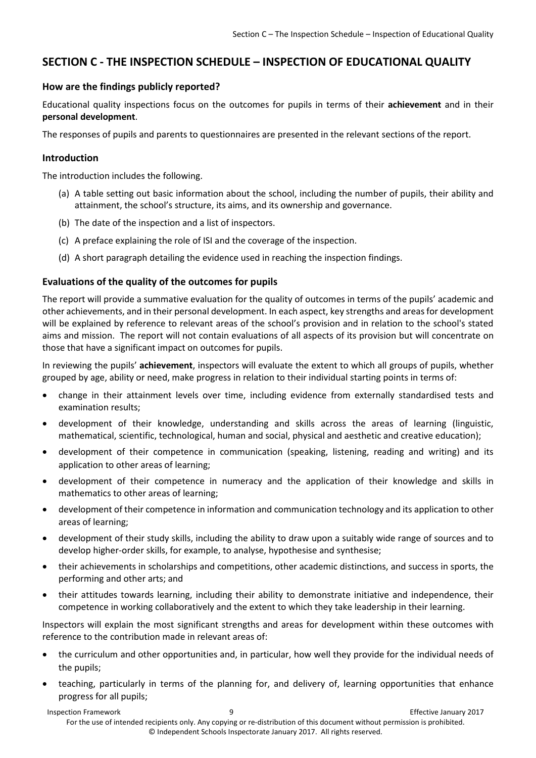## <span id="page-9-0"></span>**SECTION C - THE INSPECTION SCHEDULE – INSPECTION OF EDUCATIONAL QUALITY**

## <span id="page-9-1"></span>**How are the findings publicly reported?**

Educational quality inspections focus on the outcomes for pupils in terms of their **achievement** and in their **personal development**.

The responses of pupils and parents to questionnaires are presented in the relevant sections of the report.

## <span id="page-9-2"></span>**Introduction**

The introduction includes the following.

- (a) A table setting out basic information about the school, including the number of pupils, their ability and attainment, the school's structure, its aims, and its ownership and governance.
- (b) The date of the inspection and a list of inspectors.
- (c) A preface explaining the role of ISI and the coverage of the inspection.
- (d) A short paragraph detailing the evidence used in reaching the inspection findings.

## <span id="page-9-3"></span>**Evaluations of the quality of the outcomes for pupils**

The report will provide a summative evaluation for the quality of outcomes in terms of the pupils' academic and other achievements, and in their personal development. In each aspect, key strengths and areas for development will be explained by reference to relevant areas of the school's provision and in relation to the school's stated aims and mission. The report will not contain evaluations of all aspects of its provision but will concentrate on those that have a significant impact on outcomes for pupils.

In reviewing the pupils' **achievement**, inspectors will evaluate the extent to which all groups of pupils, whether grouped by age, ability or need, make progress in relation to their individual starting points in terms of:

- change in their attainment levels over time, including evidence from externally standardised tests and examination results;
- development of their knowledge, understanding and skills across the areas of learning (linguistic, mathematical, scientific, technological, human and social, physical and aesthetic and creative education);
- development of their competence in communication (speaking, listening, reading and writing) and its application to other areas of learning;
- development of their competence in numeracy and the application of their knowledge and skills in mathematics to other areas of learning;
- development of their competence in information and communication technology and its application to other areas of learning;
- development of their study skills, including the ability to draw upon a suitably wide range of sources and to develop higher-order skills, for example, to analyse, hypothesise and synthesise;
- their achievements in scholarships and competitions, other academic distinctions, and success in sports, the performing and other arts; and
- their attitudes towards learning, including their ability to demonstrate initiative and independence, their competence in working collaboratively and the extent to which they take leadership in their learning.

Inspectors will explain the most significant strengths and areas for development within these outcomes with reference to the contribution made in relevant areas of:

- the curriculum and other opportunities and, in particular, how well they provide for the individual needs of the pupils;
- teaching, particularly in terms of the planning for, and delivery of, learning opportunities that enhance progress for all pupils;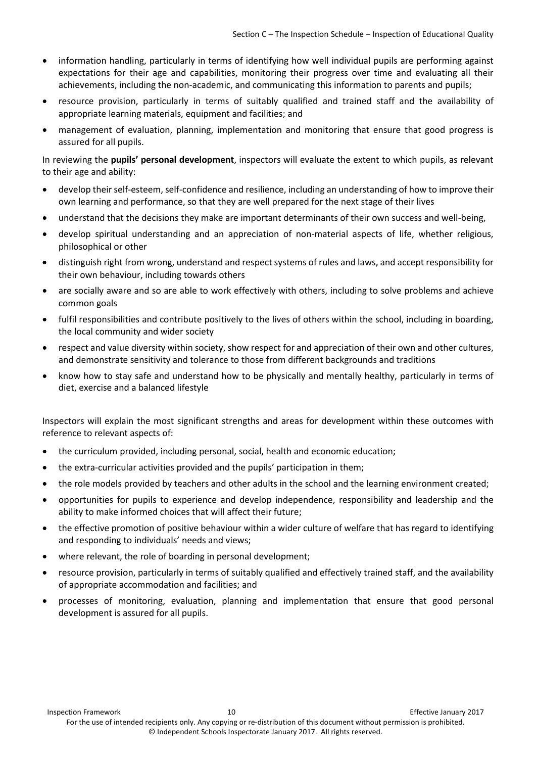- information handling, particularly in terms of identifying how well individual pupils are performing against expectations for their age and capabilities, monitoring their progress over time and evaluating all their achievements, including the non-academic, and communicating this information to parents and pupils;
- resource provision, particularly in terms of suitably qualified and trained staff and the availability of appropriate learning materials, equipment and facilities; and
- management of evaluation, planning, implementation and monitoring that ensure that good progress is assured for all pupils.

In reviewing the **pupils' personal development**, inspectors will evaluate the extent to which pupils, as relevant to their age and ability:

- develop their self-esteem, self-confidence and resilience, including an understanding of how to improve their own learning and performance, so that they are well prepared for the next stage of their lives
- understand that the decisions they make are important determinants of their own success and well-being,
- develop spiritual understanding and an appreciation of non-material aspects of life, whether religious, philosophical or other
- distinguish right from wrong, understand and respect systems of rules and laws, and accept responsibility for their own behaviour, including towards others
- are socially aware and so are able to work effectively with others, including to solve problems and achieve common goals
- fulfil responsibilities and contribute positively to the lives of others within the school, including in boarding, the local community and wider society
- respect and value diversity within society, show respect for and appreciation of their own and other cultures, and demonstrate sensitivity and tolerance to those from different backgrounds and traditions
- know how to stay safe and understand how to be physically and mentally healthy, particularly in terms of diet, exercise and a balanced lifestyle

Inspectors will explain the most significant strengths and areas for development within these outcomes with reference to relevant aspects of:

- the curriculum provided, including personal, social, health and economic education;
- the extra-curricular activities provided and the pupils' participation in them;
- the role models provided by teachers and other adults in the school and the learning environment created;
- opportunities for pupils to experience and develop independence, responsibility and leadership and the ability to make informed choices that will affect their future;
- the effective promotion of positive behaviour within a wider culture of welfare that has regard to identifying and responding to individuals' needs and views;
- where relevant, the role of boarding in personal development;
- resource provision, particularly in terms of suitably qualified and effectively trained staff, and the availability of appropriate accommodation and facilities; and
- processes of monitoring, evaluation, planning and implementation that ensure that good personal development is assured for all pupils.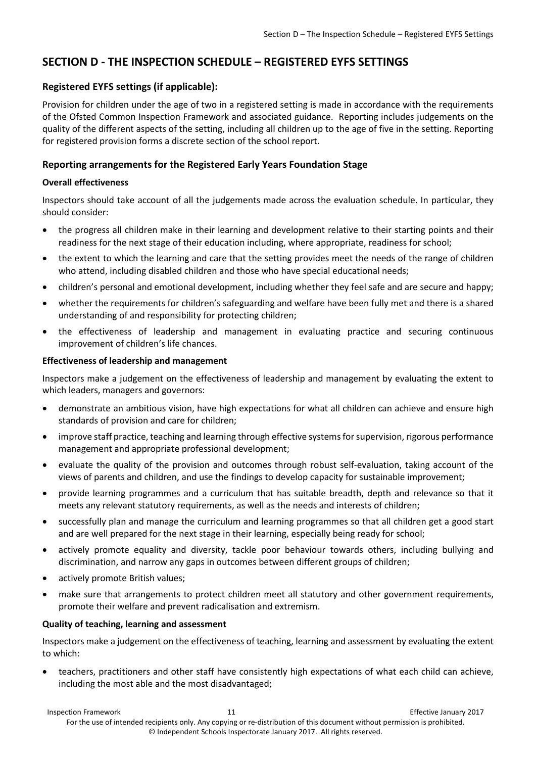## <span id="page-11-0"></span>**SECTION D - THE INSPECTION SCHEDULE – REGISTERED EYFS SETTINGS**

## <span id="page-11-1"></span>**Registered EYFS settings (if applicable):**

Provision for children under the age of two in a registered setting is made in accordance with the requirements of the Ofsted Common Inspection Framework and associated guidance. Reporting includes judgements on the quality of the different aspects of the setting, including all children up to the age of five in the setting. Reporting for registered provision forms a discrete section of the school report.

## <span id="page-11-2"></span>**Reporting arrangements for the Registered Early Years Foundation Stage**

#### **Overall effectiveness**

Inspectors should take account of all the judgements made across the evaluation schedule. In particular, they should consider:

- the progress all children make in their learning and development relative to their starting points and their readiness for the next stage of their education including, where appropriate, readiness for school;
- the extent to which the learning and care that the setting provides meet the needs of the range of children who attend, including disabled children and those who have special educational needs;
- children's personal and emotional development, including whether they feel safe and are secure and happy;
- whether the requirements for children's safeguarding and welfare have been fully met and there is a shared understanding of and responsibility for protecting children;
- the effectiveness of leadership and management in evaluating practice and securing continuous improvement of children's life chances.

#### **Effectiveness of leadership and management**

Inspectors make a judgement on the effectiveness of leadership and management by evaluating the extent to which leaders, managers and governors:

- demonstrate an ambitious vision, have high expectations for what all children can achieve and ensure high standards of provision and care for children;
- improve staff practice, teaching and learning through effective systems for supervision, rigorous performance management and appropriate professional development;
- evaluate the quality of the provision and outcomes through robust self-evaluation, taking account of the views of parents and children, and use the findings to develop capacity for sustainable improvement;
- provide learning programmes and a curriculum that has suitable breadth, depth and relevance so that it meets any relevant statutory requirements, as well as the needs and interests of children;
- successfully plan and manage the curriculum and learning programmes so that all children get a good start and are well prepared for the next stage in their learning, especially being ready for school;
- actively promote equality and diversity, tackle poor behaviour towards others, including bullying and discrimination, and narrow any gaps in outcomes between different groups of children;
- actively promote British values;
- make sure that arrangements to protect children meet all statutory and other government requirements, promote their welfare and prevent radicalisation and extremism.

## **Quality of teaching, learning and assessment**

Inspectors make a judgement on the effectiveness of teaching, learning and assessment by evaluating the extent to which:

• teachers, practitioners and other staff have consistently high expectations of what each child can achieve, including the most able and the most disadvantaged;